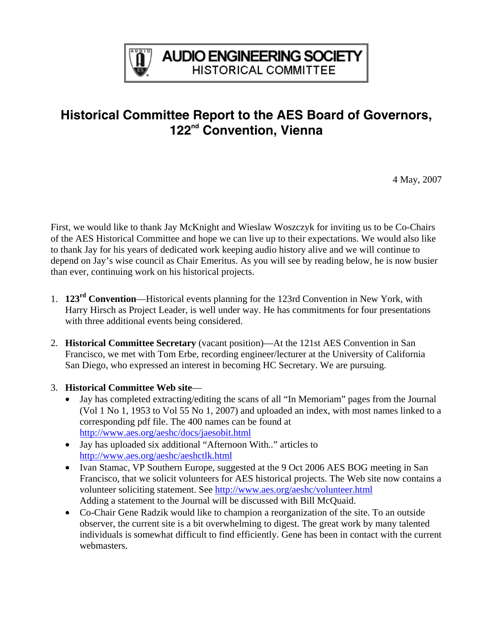

## **Historical Committee Report to the AES Board of Governors, 122nd Convention, Vienna**

4 May, 2007

First, we would like to thank Jay McKnight and Wieslaw Woszczyk for inviting us to be Co-Chairs of the AES Historical Committee and hope we can live up to their expectations. We would also like to thank Jay for his years of dedicated work keeping audio history alive and we will continue to depend on Jay's wise council as Chair Emeritus. As you will see by reading below, he is now busier than ever, continuing work on his historical projects.

- 1. **123rd Convention**—Historical events planning for the 123rd Convention in New York, with Harry Hirsch as Project Leader, is well under way. He has commitments for four presentations with three additional events being considered.
- 2. **Historical Committee Secretary** (vacant position)—At the 121st AES Convention in San Francisco, we met with Tom Erbe, recording engineer/lecturer at the University of California San Diego, who expressed an interest in becoming HC Secretary. We are pursuing.
- 3. **Historical Committee Web site**
	- Jay has completed extracting/editing the scans of all "In Memoriam" pages from the Journal (Vol 1 No 1, 1953 to Vol 55 No 1, 2007) and uploaded an index, with most names linked to a corresponding pdf file. The 400 names can be found at <http://www.aes.org/aeshc/docs/jaesobit.html>
	- Jay has uploaded six additional "Afternoon With*..*" articles to <http://www.aes.org/aeshc/aeshctlk.html>
	- Ivan Stamac, VP Southern Europe, suggested at the 9 Oct 2006 AES BOG meeting in San Francisco, that we solicit volunteers for AES historical projects. The Web site now contains a volunteer soliciting statement. See<http://www.aes.org/aeshc/volunteer.html> Adding a statement to the Journal will be discussed with Bill McQuaid.
	- Co-Chair Gene Radzik would like to champion a reorganization of the site. To an outside observer, the current site is a bit overwhelming to digest. The great work by many talented individuals is somewhat difficult to find efficiently. Gene has been in contact with the current webmasters.